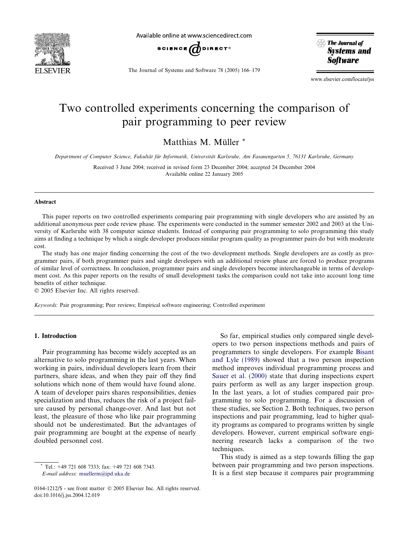

Available online at www.sciencedirect.com



The Journal of Systems and Software 78 (2005) 166–179

 $\otimes$  The Journal of **Systems and Software** 

www.elsevier.com/locate/jss

# Two controlled experiments concerning the comparison of pair programming to peer review

Matthias M. Müller \*

Department of Computer Science, Fakultät für Informatik, Universität Karlsruhe, Am Fasanengarten 5, 76131 Karlsruhe, Germany

Received 3 June 2004; received in revised form 23 December 2004; accepted 24 December 2004 Available online 22 January 2005

#### Abstract

This paper reports on two controlled experiments comparing pair programming with single developers who are assisted by an additional anonymous peer code review phase. The experiments were conducted in the summer semester 2002 and 2003 at the University of Karlsruhe with 38 computer science students. Instead of comparing pair programming to solo programming this study aims at finding a technique by which a single developer produces similar program quality as programmer pairs do but with moderate cost.

The study has one major finding concerning the cost of the two development methods. Single developers are as costly as programmer pairs, if both programmer pairs and single developers with an additional review phase are forced to produce programs of similar level of correctness. In conclusion, programmer pairs and single developers become interchangeable in terms of development cost. As this paper reports on the results of small development tasks the comparison could not take into account long time benefits of either technique.

2005 Elsevier Inc. All rights reserved.

Keywords: Pair programming; Peer reviews; Empirical software engineering; Controlled experiment

# 1. Introduction

Pair programming has become widely accepted as an alternative to solo programming in the last years. When working in pairs, individual developers learn from their partners, share ideas, and when they pair off they find solutions which none of them would have found alone. A team of developer pairs shares responsibilities, denies specialization and thus, reduces the risk of a project failure caused by personal change-over. And last but not least, the pleasure of those who like pair programming should not be underestimated. But the advantages of pair programming are bought at the expense of nearly doubled personnel cost.

 $*$  Tel.: +49 721 608 7333; fax: +49 721 608 7343. E-mail address: [muellerm@ipd.uka.de](mailto:muellerm@ipd.uka.de)

So far, empirical studies only compared single developers to two person inspections methods and pairs of programmers to single developers. For example [Bisant](#page-13-0) [and Lyle \(1989\)](#page-13-0) showed that a two person inspection method improves individual programming process and [Sauer et al. \(2000\)](#page-13-0) state that during inspections expert pairs perform as well as any larger inspection group. In the last years, a lot of studies compared pair programming to solo programming. For a discussion of these studies, see Section 2. Both techniques, two person inspections and pair programming, lead to higher quality programs as compared to programs written by single developers. However, current empirical software engineering research lacks a comparison of the two techniques.

This study is aimed as a step towards filling the gap between pair programming and two person inspections. It is a first step because it compares pair programming

<sup>0164-1212/\$ -</sup> see front matter © 2005 Elsevier Inc. All rights reserved. doi:10.1016/j.jss.2004.12.019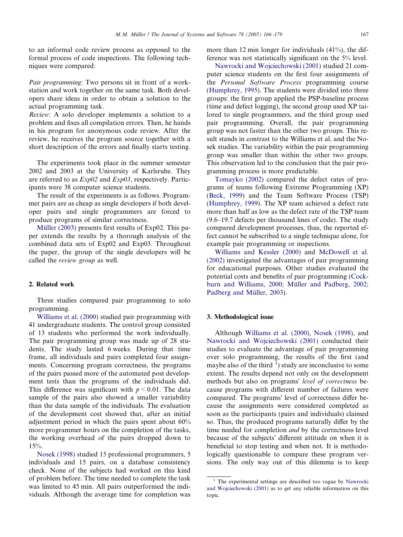to an informal code review process as opposed to the formal process of code inspections. The following techniques were compared:

Pair programming: Two persons sit in front of a workstation and work together on the same task. Both developers share ideas in order to obtain a solution to the actual programming task.

Review: A solo developer implements a solution to a problem and fixes all compilation errors. Then, he hands in his program for anonymous code review. After the review, he receives the program source together with a short description of the errors and finally starts testing.

The experiments took place in the summer semester 2002 and 2003 at the University of Karlsruhe. They are referred to as Exp02 and Exp03, respectively. Participants were 38 computer science students.

The result of the experiments is as follows. Programmer pairs are as cheap as single developers if both developer pairs and single programmers are forced to produce programs of similar correctness.

Müller (2003) presents first results of Exp02. This paper extends the results by a thorough analysis of the combined data sets of Exp02 and Exp03. Throughout the paper, the group of the single developers will be called the review group as well.

### 2. Related work

Three studies compared pair programming to solo programming.

[Williams et al. \(2000\)](#page-13-0) studied pair programming with 41 undergraduate students. The control group consisted of 13 students who performed the work individually. The pair programming group was made up of 28 students. The study lasted 6 weeks. During that time frame, all individuals and pairs completed four assignments. Concerning program correctness, the programs of the pairs passed more of the automated post development tests than the programs of the individuals did. This difference was significant with  $p \le 0.01$ . The data sample of the pairs also showed a smaller variability than the data sample of the individuals. The evaluation of the development cost showed that, after an initial adjustment period in which the pairs spent about 60% more programmer hours on the completion of the tasks, the working overhead of the pairs dropped down to 15%.

[Nosek \(1998\)](#page-13-0) studied 15 professional programmers, 5 individuals and 15 pairs, on a database consistency check. None of the subjects had worked on this kind of problem before. The time needed to complete the task was limited to 45 min. All pairs outperformed the individuals. Although the average time for completion was more than 12 min longer for individuals (41%), the difference was not statistically significant on the 5% level.

[Nawrocki and Wojciechowski \(2001\)](#page-13-0) studied 21 computer science students on the first four assignments of the Personal Software Process programming course ([Humphrey, 1995\)](#page-13-0). The students were divided into three groups: the first group applied the PSP-baseline process (time and defect logging), the second group used XP tailored to single programmers, and the third group used pair programming. Overall, the pair programming group was not faster than the other two groups. This result stands in contrast to the Williams et al. and the Nosek studies. The variability within the pair programming group was smaller than within the other two groups. This observation led to the conclusion that the pair programming process is more predictable.

[Tomayko \(2002\)](#page-13-0) compared the defect rates of programs of teams following Extreme Programming (XP) ([Beck, 1999](#page-13-0)) and the Team Software Process (TSP) ([Humphrey, 1999\)](#page-13-0). The XP team achieved a defect rate more than half as low as the defect rate of the TSP team (9.6–19.7 defects per thousand lines of code). The study compared development processes, thus, the reported effect cannot be subscribed to a single technique alone, for example pair programming or inspections.

[Williams and Kessler \(2000\)](#page-13-0) and [McDowell et al.](#page-13-0) [\(2002\)](#page-13-0) investigated the advantages of pair programming for educational purposes. Other studies evaluated the potential costs and benefits of pair programming ([Cock](#page-13-0)burn and Williams, 2000; Müller and Padberg, 2002; Padberg and Müller, 2003).

# 3. Methodological issue

Although [Williams et al. \(2000\),](#page-13-0) [Nosek \(1998\),](#page-13-0) and [Nawrocki and Wojciechowski \(2001\)](#page-13-0) conducted their studies to evaluate the advantage of pair programming over solo programming, the results of the first (and maybe also of the third  $\overline{1}$ ) study are inconclusive to some extent. The results depend not only on the development methods but also on programs' level of correctness because programs with different number of failures were compared. The programs' level of correctness differ because the assignments were considered completed as soon as the participants (pairs and individuals) claimed so. Thus, the produced programs naturally differ by the time needed for completion *and* by the correctness level because of the subjects' different attitude on when it is beneficial to stop testing and when not. It is methodologically questionable to compare these program versions. The only way out of this dilemma is to keep

<sup>&</sup>lt;sup>1</sup> The experimental settings are described too vague by [Nawrocki](#page-13-0) [and Wojciechowski \(2001\)](#page-13-0) as to get any reliable information on this topic.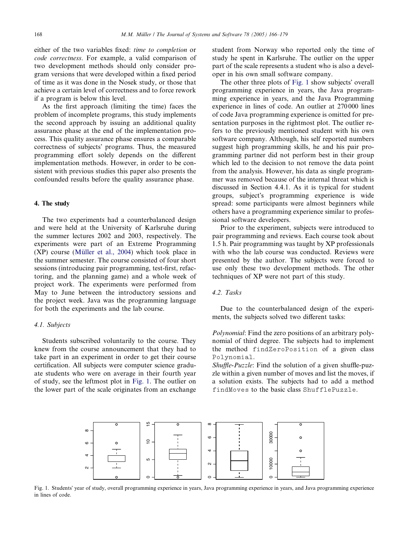either of the two variables fixed: time to completion or code correctness. For example, a valid comparison of two development methods should only consider program versions that were developed within a fixed period of time as it was done in the Nosek study, or those that achieve a certain level of correctness and to force rework if a program is below this level.

As the first approach (limiting the time) faces the problem of incomplete programs, this study implements the second approach by issuing an additional quality assurance phase at the end of the implementation process. This quality assurance phase ensures a comparable correctness of subjects' programs. Thus, the measured programming effort solely depends on the different implementation methods. However, in order to be consistent with previous studies this paper also presents the confounded results before the quality assurance phase.

### 4. The study

The two experiments had a counterbalanced design and were held at the University of Karlsruhe during the summer lectures 2002 and 2003, respectively. The experiments were part of an Extreme Programming  $(XP)$  course (Müller et al., 2004) which took place in the summer semester. The course consisted of four short sessions (introducing pair programming, test-first, refactoring, and the planning game) and a whole week of project work. The experiments were performed from May to June between the introductory sessions and the project week. Java was the programming language for both the experiments and the lab course.

# 4.1. Subjects

Students subscribed voluntarily to the course. They knew from the course announcement that they had to take part in an experiment in order to get their course certification. All subjects were computer science graduate students who were on average in their fourth year of study, see the leftmost plot in Fig. 1. The outlier on the lower part of the scale originates from an exchange student from Norway who reported only the time of study he spent in Karlsruhe. The outlier on the upper part of the scale represents a student who is also a developer in his own small software company.

The other three plots of Fig. 1 show subjects' overall programming experience in years, the Java programming experience in years, and the Java Programming experience in lines of code. An outlier at 270 000 lines of code Java programming experience is omitted for presentation purposes in the rightmost plot. The outlier refers to the previously mentioned student with his own software company. Although, his self reported numbers suggest high programming skills, he and his pair programming partner did not perform best in their group which led to the decision to not remove the data point from the analysis. However, his data as single programmer was removed because of the internal threat which is discussed in Section 4.4.1. As it is typical for student groups, subject's programming experience is wide spread: some participants were almost beginners while others have a programming experience similar to professional software developers.

Prior to the experiment, subjects were introduced to pair programming and reviews. Each course took about 1.5 h. Pair programming was taught by XP professionals with who the lab course was conducted. Reviews were presented by the author. The subjects were forced to use only these two development methods. The other techniques of XP were not part of this study.

# 4.2. Tasks

Due to the counterbalanced design of the experiments, the subjects solved two different tasks:

Polynomial: Find the zero positions of an arbitrary polynomial of third degree. The subjects had to implement the method findZeroPosition of a given class Polynomial.

Shuffle-Puzzle: Find the solution of a given shuffle-puzzle within a given number of moves and list the moves, if a solution exists. The subjects had to add a method findMoves to the basic class ShufflePuzzle.



Fig. 1. Students' year of study, overall programming experience in years, Java programming experience in years, and Java programming experience in lines of code.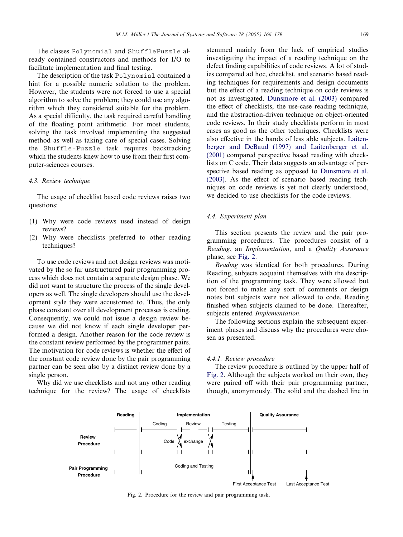<span id="page-3-0"></span>The classes Polynomial and ShufflePuzzle already contained constructors and methods for I/O to facilitate implementation and final testing.

The description of the task Polynomial contained a hint for a possible numeric solution to the problem. However, the students were not forced to use a special algorithm to solve the problem; they could use any algorithm which they considered suitable for the problem. As a special difficulty, the task required careful handling of the floating point arithmetic. For most students, solving the task involved implementing the suggested method as well as taking care of special cases. Solving the Shuffle-Puzzle task requires backtracking which the students knew how to use from their first computer-sciences courses.

### 4.3. Review technique

The usage of checklist based code reviews raises two questions:

- (1) Why were code reviews used instead of design reviews?
- (2) Why were checklists preferred to other reading techniques?

To use code reviews and not design reviews was motivated by the so far unstructured pair programming process which does not contain a separate design phase. We did not want to structure the process of the single developers as well. The single developers should use the development style they were accustomed to. Thus, the only phase constant over all development processes is coding. Consequently, we could not issue a design review because we did not know if each single developer performed a design. Another reason for the code review is the constant review performed by the programmer pairs. The motivation for code reviews is whether the effect of the constant code review done by the pair programming partner can be seen also by a distinct review done by a single person.

Why did we use checklists and not any other reading technique for the review? The usage of checklists stemmed mainly from the lack of empirical studies investigating the impact of a reading technique on the defect finding capabilities of code reviews. A lot of studies compared ad hoc, checklist, and scenario based reading techniques for requirements and design documents but the effect of a reading technique on code reviews is not as investigated. [Dunsmore et al. \(2003\)](#page-13-0) compared the effect of checklists, the use-case reading technique, and the abstraction-driven technique on object-oriented code reviews. In their study checklists perform in most cases as good as the other techniques. Checklists were also effective in the hands of less able subjects. [Laiten](#page-13-0)[berger and DeBaud \(1997\) and Laitenberger et al.](#page-13-0) [\(2001\)](#page-13-0) compared perspective based reading with checklists on C code. Their data suggests an advantage of perspective based reading as opposed to [Dunsmore et al.](#page-13-0) [\(2003\)](#page-13-0). As the effect of scenario based reading techniques on code reviews is yet not clearly understood, we decided to use checklists for the code reviews.

# 4.4. Experiment plan

This section presents the review and the pair programming procedures. The procedures consist of a Reading, an Implementation, and a Quality Assurance phase, see Fig. 2.

Reading was identical for both procedures. During Reading, subjects acquaint themselves with the description of the programming task. They were allowed but not forced to make any sort of comments or design notes but subjects were not allowed to code. Reading finished when subjects claimed to be done. Thereafter, subjects entered Implementation.

The following sections explain the subsequent experiment phases and discuss why the procedures were chosen as presented.

#### 4.4.1. Review procedure

The review procedure is outlined by the upper half of Fig. 2. Although the subjects worked on their own, they were paired off with their pair programming partner, though, anonymously. The solid and the dashed line in



Fig. 2. Procedure for the review and pair programming task.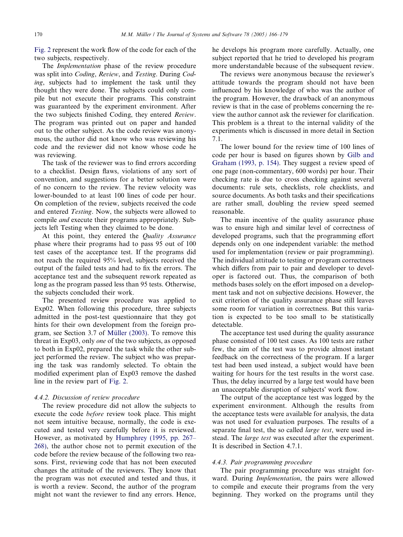[Fig. 2](#page-3-0) represent the work flow of the code for each of the two subjects, respectively.

The *Implementation* phase of the review procedure was split into Coding, Review, and Testing. During Coding, subjects had to implement the task until they thought they were done. The subjects could only compile but not execute their programs. This constraint was guaranteed by the experiment environment. After the two subjects finished Coding, they entered Review. The program was printed out on paper and handed out to the other subject. As the code review was anonymous, the author did not know who was reviewing his code and the reviewer did not know whose code he was reviewing.

The task of the reviewer was to find errors according to a checklist. Design flaws, violations of any sort of convention, and suggestions for a better solution were of no concern to the review. The review velocity was lower-bounded to at least 100 lines of code per hour. On completion of the review, subjects received the code and entered Testing. Now, the subjects were allowed to compile and execute their programs appropriately. Subjects left Testing when they claimed to be done.

At this point, they entered the *Quality Assurance* phase where their programs had to pass 95 out of 100 test cases of the acceptance test. If the programs did not reach the required 95% level, subjects received the output of the failed tests and had to fix the errors. The acceptance test and the subsequent rework repeated as long as the program passed less than 95 tests. Otherwise, the subjects concluded their work.

The presented review procedure was applied to Exp02. When following this procedure, three subjects admitted in the post-test questionnaire that they got hints for their own development from the foreign program, see Section 3.7 of Müller  $(2003)$ . To remove this threat in Exp03, only one of the two subjects, as opposed to both in Exp02, prepared the task while the other subject performed the review. The subject who was preparing the task was randomly selected. To obtain the modified experiment plan of Exp03 remove the dashed line in the review part of [Fig. 2.](#page-3-0)

### 4.4.2. Discussion of review procedure

The review procedure did not allow the subjects to execute the code before review took place. This might not seem intuitive because, normally, the code is executed and tested very carefully before it is reviewed. However, as motivated by [Humphrey \(1995, pp. 267–](#page-13-0) [268\),](#page-13-0) the author chose not to permit execution of the code before the review because of the following two reasons. First, reviewing code that has not been executed changes the attitude of the reviewers. They know that the program was not executed and tested and thus, it is worth a review. Second, the author of the program might not want the reviewer to find any errors. Hence, he develops his program more carefully. Actually, one subject reported that he tried to developed his program more understandable because of the subsequent review.

The reviews were anonymous because the reviewer's attitude towards the program should not have been influenced by his knowledge of who was the author of the program. However, the drawback of an anonymous review is that in the case of problems concerning the review the author cannot ask the reviewer for clarification. This problem is a threat to the internal validity of the experiments which is discussed in more detail in Section 7.1.

The lower bound for the review time of 100 lines of code per hour is based on figures shown by [Gilb and](#page-13-0) [Graham \(1993, p. 154\)](#page-13-0). They suggest a review speed of one page (non-commentary, 600 words) per hour. Their checking rate is due to cross checking against several documents: rule sets, checklists, role checklists, and source documents. As both tasks and their specifications are rather small, doubling the review speed seemed reasonable.

The main incentive of the quality assurance phase was to ensure high and similar level of correctness of developed programs, such that the programming effort depends only on one independent variable: the method used for implementation (review or pair programming). The individual attitude to testing or program correctness which differs from pair to pair and developer to developer is factored out. Thus, the comparison of both methods bases solely on the effort imposed on a development task and not on subjective decisions. However, the exit criterion of the quality assurance phase still leaves some room for variation in correctness. But this variation is expected to be too small to be statistically detectable.

The acceptance test used during the quality assurance phase consisted of 100 test cases. As 100 tests are rather few, the aim of the test was to provide almost instant feedback on the correctness of the program. If a larger test had been used instead, a subject would have been waiting for hours for the test results in the worst case. Thus, the delay incurred by a large test would have been an unacceptable disruption of subjects' work flow.

The output of the acceptance test was logged by the experiment environment. Although the results from the acceptance tests were available for analysis, the data was not used for evaluation purposes. The results of a separate final test, the so called *large test*, were used instead. The *large test* was executed after the experiment. It is described in Section 4.7.1.

#### 4.4.3. Pair programming procedure

The pair programming procedure was straight forward. During Implementation, the pairs were allowed to compile and execute their programs from the very beginning. They worked on the programs until they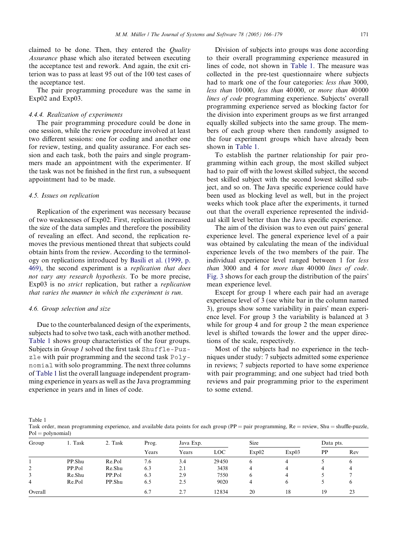<span id="page-5-0"></span>claimed to be done. Then, they entered the Quality Assurance phase which also iterated between executing the acceptance test and rework. And again, the exit criterion was to pass at least 95 out of the 100 test cases of the acceptance test.

The pair programming procedure was the same in Exp02 and Exp03.

### 4.4.4. Realization of experiments

The pair programming procedure could be done in one session, while the review procedure involved at least two different sessions: one for coding and another one for review, testing, and quality assurance. For each session and each task, both the pairs and single programmers made an appointment with the experimenter. If the task was not be finished in the first run, a subsequent appointment had to be made.

# 4.5. Issues on replication

Replication of the experiment was necessary because of two weaknesses of Exp02. First, replication increased the size of the data samples and therefore the possibility of revealing an effect. And second, the replication removes the previous mentioned threat that subjects could obtain hints from the review. According to the terminology on replications introduced by [Basili et al. \(1999, p.](#page-13-0) [469\),](#page-13-0) the second experiment is a replication that does not vary any research hypothesis. To be more precise, Exp03 is no strict replication, but rather a replication that varies the manner in which the experiment is run.

# 4.6. Group selection and size

Due to the counterbalanced design of the experiments, subjects had to solve two task, each with another method. Table 1 shows group characteristics of the four groups. Subjects in Group 1 solved the first task Shuffle-Puzzle with pair programming and the second task Polynomial with solo programming. The next three columns of Table 1 list the overall language independent programming experience in years as well as the Java programming experience in years and in lines of code.

Division of subjects into groups was done according to their overall programming experience measured in lines of code, not shown in Table 1. The measure was collected in the pre-test questionnaire where subjects had to mark one of the four categories: less than 3000, less than 10 000, less than 40 000, or more than 40 000 lines of code programming experience. Subjects' overall programming experience served as blocking factor for the division into experiment groups as we first arranged equally skilled subjects into the same group. The members of each group where then randomly assigned to the four experiment groups which have already been shown in Table 1.

To establish the partner relationship for pair programming within each group, the most skilled subject had to pair off with the lowest skilled subject, the second best skilled subject with the second lowest skilled subject, and so on. The Java specific experience could have been used as blocking level as well, but in the project weeks which took place after the experiments, it turned out that the overall experience represented the individual skill level better than the Java specific experience.

The aim of the division was to even out pairs' general experience level. The general experience level of a pair was obtained by calculating the mean of the individual experience levels of the two members of the pair. The individual experience level ranged between 1 for less than 3000 and 4 for more than 40 000 lines of code. [Fig. 3](#page-6-0) shows for each group the distribution of the pairs mean experience level.

Except for group 1 where each pair had an average experience level of 3 (see white bar in the column named 3), groups show some variability in pairs' mean experience level. For group 3 the variability is balanced at 3 while for group 4 and for group 2 the mean experience level is shifted towards the lower and the upper directions of the scale, respectively.

Most of the subjects had no experience in the techniques under study: 7 subjects admitted some experience in reviews; 7 subjects reported to have some experience with pair programming; and one subject had tried both reviews and pair programming prior to the experiment to some extend.

Table 1

Task order, mean programming experience, and available data points for each group ( $PP = pair programming$ ,  $Re = review$ ,  $Shu = sh$   $flh$ e-puzzle,  $Pol = polynomial$ 

| Group   | 1. Task | 2. Task | Prog.<br>Years | Java Exp. |       | Size  |       | Data pts.      |     |
|---------|---------|---------|----------------|-----------|-------|-------|-------|----------------|-----|
|         |         |         |                | Years     | LOC   | Exp02 | Exp03 | PP             | Rev |
|         | PP.Shu  | Re.Pol  | 7.6            | 3.4       | 29450 | h     | 4     |                |     |
| 2       | PP.Pol  | Re.Shu  | 6.3            | 2.1       | 3438  | 4     | 4     | $\overline{4}$ |     |
| 3       | Re.Shu  | PP.Pol  | 6.3            | 2.9       | 7550  | b.    | 4     |                |     |
| 4       | Re.Pol  | PP.Shu  | 6.5            | 2.5       | 9020  | 4     |       |                |     |
| Overall |         |         | 6.7            | 2.7       | 12834 | 20    | 18    | 19             | 23  |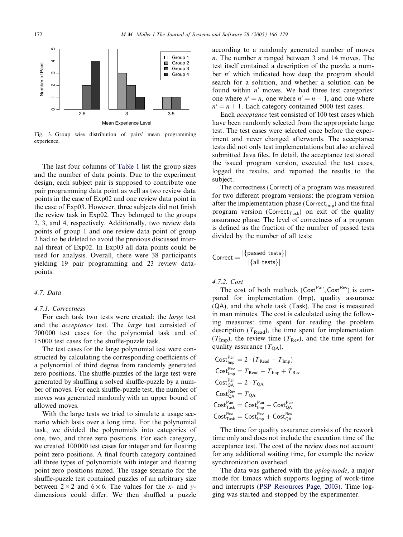<span id="page-6-0"></span>

Fig. 3. Group wise distribution of pairs' mean programming experience.

The last four columns of [Table 1](#page-5-0) list the group sizes and the number of data points. Due to the experiment design, each subject pair is supposed to contribute one pair programming data point as well as two review data points in the case of Exp02 and one review data point in the case of Exp03. However, three subjects did not finish the review task in Exp02. They belonged to the groups 2, 3, and 4, respectively. Additionally, two review data points of group 1 and one review data point of group 2 had to be deleted to avoid the previous discussed internal threat of Exp02. In Exp03 all data points could be used for analysis. Overall, there were 38 participants yielding 19 pair programming and 23 review datapoints.

# 4.7. Data

### 4.7.1. Correctness

For each task two tests were created: the large test and the acceptance test. The large test consisted of 700 000 test cases for the polynomial task and of 15 000 test cases for the shuffle-puzzle task.

The test cases for the large polynomial test were constructed by calculating the corresponding coefficients of a polynomial of third degree from randomly generated zero positions. The shuffle-puzzles of the large test were generated by shuffling a solved shuffle-puzzle by a number of moves. For each shuffle-puzzle test, the number of moves was generated randomly with an upper bound of allowed moves.

With the large tests we tried to simulate a usage scenario which lasts over a long time. For the polynomial task, we divided the polynomials into categories of one, two, and three zero positions. For each category, we created 100 000 test cases for integer and for floating point zero positions. A final fourth category contained all three types of polynomials with integer and floating point zero positions mixed. The usage scenario for the shuffle-puzzle test contained puzzles of an arbitrary size between  $2 \times 2$  and  $6 \times 6$ . The values for the x- and ydimensions could differ. We then shuffled a puzzle according to a randomly generated number of moves n. The number n ranged between 3 and 14 moves. The test itself contained a description of the puzzle, a number  $n'$  which indicated how deep the program should search for a solution, and whether a solution can be found within  $n'$  moves. We had three test categories: one where  $n' = n$ , one where  $n' = n - 1$ , and one where  $n' = n + 1$ . Each category contained 5000 test cases.

Each acceptance test consisted of 100 test cases which have been randomly selected from the appropriate large test. The test cases were selected once before the experiment and never changed afterwards. The acceptance tests did not only test implementations but also archived submitted Java files. In detail, the acceptance test stored the issued program version, executed the test cases, logged the results, and reported the results to the subject.

The correctness (Correct) of a program was measured for two different program versions: the program version after the implementation phase (Correct<sub>Imp</sub>) and the final program version (Correct<sub>Task</sub>) on exit of the quality assurance phase. The level of correctness of a program is defined as the fraction of the number of passed tests divided by the number of all tests:

$$
Correct = \frac{|\{passed tests\}|}{|\{all tests\}|}
$$

4.7.2. Cost

The cost of both methods  $(Cost<sup>Pair</sup>, Cost<sup>Rev</sup>)$  is compared for implementation (Imp), quality assurance (QA), and the whole task (Task). The cost is measured in man minutes. The cost is calculated using the following measures: time spent for reading the problem description  $(T_{\text{Read}})$ , the time spent for implementation  $(T_{\text{Imp}})$ , the review time  $(T_{\text{Rev}})$ , and the time spent for quality assurance  $(T<sub>OA</sub>)$ .

$$
\begin{aligned} &\text{Cost}^{\text{Pair}}_{\text{Imp}} = 2 \cdot (T_{\text{Read}} + T_{\text{Imp}})\\ &\text{Cost}^{\text{Rev}}_{\text{Imp}} = T_{\text{Read}} + T_{\text{Imp}} + T_{\text{Rev}}\\ &\text{Cost}^{\text{Pair}}_{\text{QA}} = 2 \cdot T_{\text{QA}}\\ &\text{Cost}^{\text{Rev}}_{\text{QA}} = T_{\text{QA}}\\ &\text{Cost}^{\text{Pair}}_{\text{Task}} = \text{Cost}^{\text{Pair}}_{\text{Imp}} + \text{Cost}^{\text{Pair}}_{\text{QA}}\\ &\text{Cost}^{\text{Rev}}_{\text{Task}} = \text{Cost}^{\text{Rev}}_{\text{Imp}} + \text{Cost}^{\text{Rev}}_{\text{QA}}\\ \end{aligned}
$$

The time for quality assurance consists of the rework time only and does not include the execution time of the acceptance test. The cost of the review does not account for any additional waiting time, for example the review synchronization overhead.

The data was gathered with the *pplog-mode*, a major mode for Emacs which supports logging of work-time and interrupts [\(PSP Resources Page, 2003\)](#page-13-0). Time logging was started and stopped by the experimenter.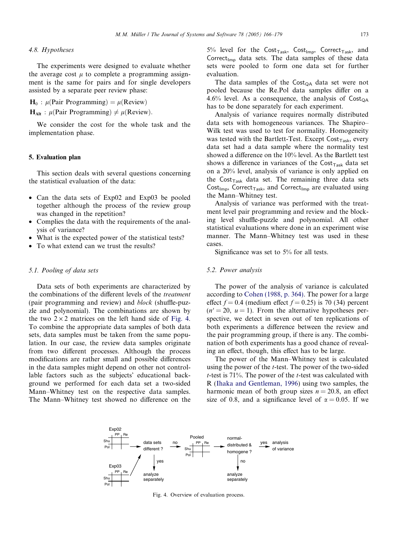## 4.8. Hypotheses

The experiments were designed to evaluate whether the average cost  $\mu$  to complete a programming assignment is the same for pairs and for single developers assisted by a separate peer review phase:

 $H_0$ :  $\mu$ (Pair Programming) =  $\mu$ (Review)  $H_{Alt}: \mu(Pair Programming) \neq \mu(Review).$ 

We consider the cost for the whole task and the implementation phase.

### 5. Evaluation plan

This section deals with several questions concerning the statistical evaluation of the data:

- Can the data sets of Exp02 and Exp03 be pooled together although the process of the review group was changed in the repetition?
- Complies the data with the requirements of the analysis of variance?
- What is the expected power of the statistical tests?
- To what extend can we trust the results?

# 5.1. Pooling of data sets

Data sets of both experiments are characterized by the combinations of the different levels of the treatment (pair programming and review) and block (shuffle-puzzle and polynomial). The combinations are shown by the two  $2 \times 2$  matrices on the left hand side of Fig. 4. To combine the appropriate data samples of both data sets, data samples must be taken from the same population. In our case, the review data samples originate from two different processes. Although the process modifications are rather small and possible differences in the data samples might depend on other not controllable factors such as the subjects' educational background we performed for each data set a two-sided Mann–Whitney test on the respective data samples. The Mann–Whitney test showed no difference on the

5% level for the Cost<sub>Task</sub>, Cost<sub>Imp</sub>, Correct<sub>Task</sub>, and Correct<sub>Imp</sub> data sets. The data samples of these data sets were pooled to form one data set for further evaluation.

The data samples of the Cost<sub>QA</sub> data set were not pooled because the Re.Pol data samples differ on a 4.6% level. As a consequence, the analysis of  $Cost_{OA}$ has to be done separately for each experiment.

Analysis of variance requires normally distributed data sets with homogeneous variances. The Shapiro– Wilk test was used to test for normality. Homogeneity was tested with the Bartlett-Test. Except  $Cost<sub>Task</sub>$ , every data set had a data sample where the normality test showed a difference on the 10% level. As the Bartlett test shows a difference in variances of the  $Cost<sub>Task</sub>$  data set on a 20% level, analysis of variance is only applied on the  $Cost<sub>Task</sub>$  data set. The remaining three data sets Cost<sub>Imp</sub>, Correct<sub>Task</sub>, and Correct<sub>Imp</sub> are evaluated using the Mann–Whitney test.

Analysis of variance was performed with the treatment level pair programming and review and the blocking level shuffle-puzzle and polynomial. All other statistical evaluations where done in an experiment wise manner. The Mann–Whitney test was used in these cases.

Significance was set to 5% for all tests.

# 5.2. Power analysis

The power of the analysis of variance is calculated according to [Cohen \(1988, p. 364\).](#page-13-0) The power for a large effect  $f = 0.4$  (medium effect  $f = 0.25$ ) is 70 (34) percent  $(n' = 20, u = 1)$ . From the alternative hypotheses perspective, we detect in seven out of ten replications of both experiments a difference between the review and the pair programming group, if there is any. The combination of both experiments has a good chance of revealing an effect, though, this effect has to be large.

The power of the Mann–Whitney test is calculated using the power of the t-test. The power of the two-sided t-test is  $71\%$ . The power of the t-test was calculated with R ([Ihaka and Gentleman, 1996](#page-13-0)) using two samples, the harmonic mean of both group sizes  $n = 20.8$ , an effect size of 0.8, and a significance level of  $\alpha = 0.05$ . If we



Fig. 4. Overview of evaluation process.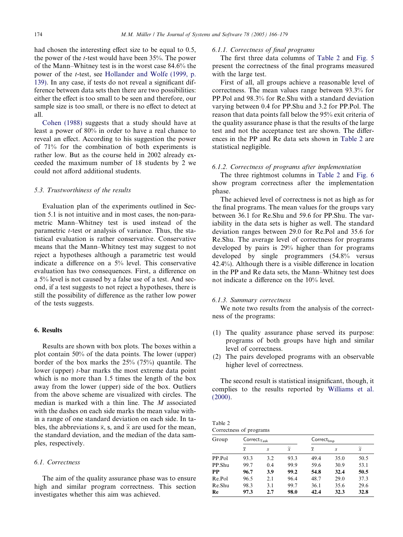had chosen the interesting effect size to be equal to 0.5, the power of the t-test would have been 35%. The power of the Mann–Whitney test is in the worst case 84.6% the power of the t-test, see [Hollander and Wolfe \(1999, p.](#page-13-0) [139\).](#page-13-0) In any case, if tests do not reveal a significant difference between data sets then there are two possibilities: either the effect is too small to be seen and therefore, our sample size is too small, or there is no effect to detect at all.

[Cohen \(1988\)](#page-13-0) suggests that a study should have at least a power of 80% in order to have a real chance to reveal an effect. According to his suggestion the power of 71% for the combination of both experiments is rather low. But as the course held in 2002 already exceeded the maximum number of 18 students by 2 we could not afford additional students.

# 5.3. Trustworthiness of the results

Evaluation plan of the experiments outlined in Section 5.1 is not intuitive and in most cases, the non-parametric Mann–Whitney test is used instead of the parametric t-test or analysis of variance. Thus, the statistical evaluation is rather conservative. Conservative means that the Mann–Whitney test may suggest to not reject a hypotheses although a parametric test would indicate a difference on a 5% level. This conservative evaluation has two consequences. First, a difference on a 5% level is not caused by a false use of a test. And second, if a test suggests to not reject a hypotheses, there is still the possibility of difference as the rather low power of the tests suggests.

# 6. Results

Results are shown with box plots. The boxes within a plot contain 50% of the data points. The lower (upper) border of the box marks the 25% (75%) quantile. The lower (upper) *t*-bar marks the most extreme data point which is no more than 1.5 times the length of the box away from the lower (upper) side of the box. Outliers from the above scheme are visualized with circles. The median is marked with a thin line. The M associated with the dashes on each side marks the mean value within a range of one standard deviation on each side. In tables, the abbreviations  $\bar{x}$ , s, and  $\tilde{x}$  are used for the mean, the standard deviation, and the median of the data samples, respectively.

# 6.1. Correctness

The aim of the quality assurance phase was to ensure high and similar program correctness. This section investigates whether this aim was achieved.

### 6.1.1. Correctness of final programs

The first three data columns of Table 2 and [Fig. 5](#page-9-0) present the correctness of the final programs measured with the large test.

First of all, all groups achieve a reasonable level of correctness. The mean values range between 93.3% for PP.Pol and 98.3% for Re.Shu with a standard deviation varying between 0.4 for PP.Shu and 3.2 for PP.Pol. The reason that data points fall below the 95% exit criteria of the quality assurance phase is that the results of the large test and not the acceptance test are shown. The differences in the PP and Re data sets shown in Table 2 are statistical negligible.

### 6.1.2. Correctness of programs after implementation

The three rightmost columns in Table 2 and [Fig. 6](#page-9-0) show program correctness after the implementation phase.

The achieved level of correctness is not as high as for the final programs. The mean values for the groups vary between 36.1 for Re.Shu and 59.6 for PP.Shu. The variability in the data sets is higher as well. The standard deviation ranges between 29.0 for Re.Pol and 35.6 for Re.Shu. The average level of correctness for programs developed by pairs is 29% higher than for programs developed by single programmers (54.8% versus 42.4%). Although there is a visible difference in location in the PP and Re data sets, the Mann–Whitney test does not indicate a difference on the 10% level.

### 6.1.3. Summary correctness

We note two results from the analysis of the correctness of the programs:

- (1) The quality assurance phase served its purpose: programs of both groups have high and similar level of correctness.
- (2) The pairs developed programs with an observable higher level of correctness.

The second result is statistical insignificant, though, it complies to the results reported by [Williams et al.](#page-13-0) [\(2000\)](#page-13-0).

Table 2 Correctness of programs

| Group     | $Correct$ <sub>Task</sub> |     |                 | $Correct_{\text{Imp}}$ |      |                 |  |
|-----------|---------------------------|-----|-----------------|------------------------|------|-----------------|--|
|           | $\overline{x}$            | S.  | $\widetilde{x}$ | $\overline{x}$         | S    | $\widetilde{x}$ |  |
| PP.Pol    | 93.3                      | 3.2 | 93.3            | 49.4                   | 35.0 | 50.5            |  |
| PP.Shu    | 99.7                      | 0.4 | 99.9            | 59.6                   | 30.9 | 53.1            |  |
| <b>PP</b> | 96.7                      | 3.9 | 99.2            | 54.8                   | 32.4 | 50.5            |  |
| Re.Pol    | 96.5                      | 2.1 | 96.4            | 48.7                   | 29.0 | 37.3            |  |
| Re.Shu    | 98.3                      | 3.1 | 99.7            | 36.1                   | 35.6 | 29.6            |  |
| Re        | 97.3                      | 2.7 | 98.0            | 42.4                   | 32.3 | 32.8            |  |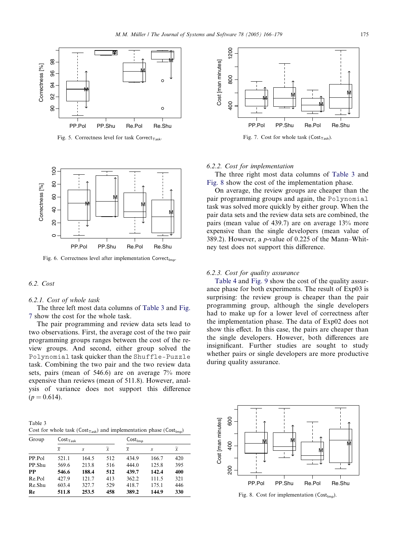<span id="page-9-0"></span>

Fig. 5. Correctness level for task  $Correct_{Task}$ .



Fig. 6. Correctness level after implementation  $\text{Correct}_{\text{Imp}}$ .

# 6.2. Cost

#### 6.2.1. Cost of whole task

The three left most data columns of Table 3 and Fig. 7 show the cost for the whole task.

The pair programming and review data sets lead to two observations. First, the average cost of the two pair programming groups ranges between the cost of the review groups. And second, either group solved the Polynomial task quicker than the Shuffle-Puzzle task. Combining the two pair and the two review data sets, pairs (mean of 546.6) are on average 7% more expensive than reviews (mean of 511.8). However, analysis of variance does not support this difference  $(p = 0.614)$ .

Table 3 Cost for whole task (Cost<sub>Task</sub>) and implementation phase (Cost<sub>Imp</sub>)

| Group     | $Cost$ <sub>Task</sub> |                  |                 | $Cost_{Imp}$ |       |                 |  |
|-----------|------------------------|------------------|-----------------|--------------|-------|-----------------|--|
|           | $\overline{x}$         | $\boldsymbol{S}$ | $\widetilde{x}$ | $\bar{x}$    | S     | $\widetilde{x}$ |  |
| PP Pol    | 521.1                  | 164.5            | 512             | 434.9        | 166.7 | 420             |  |
| PP.Shu    | 569.6                  | 213.8            | 516             | 444.0        | 125.8 | 395             |  |
| <b>PP</b> | 546.6                  | 188.4            | 512             | 439.7        | 142.4 | 400             |  |
| Re.Pol    | 427.9                  | 121.7            | 413             | 362.2        | 111.5 | 321             |  |
| Re.Shu    | 603.4                  | 327.7            | 529             | 418.7        | 175.1 | 446             |  |
| Re        | 511.8                  | 253.5            | 458             | 389.2        | 144.9 | 330             |  |



Fig. 7. Cost for whole task ( $Cost<sub>Task</sub>$ ).

### 6.2.2. Cost for implementation

The three right most data columns of Table 3 and Fig. 8 show the cost of the implementation phase.

On average, the review groups are cheaper than the pair programming groups and again, the Polynomial task was solved more quickly by either group. When the pair data sets and the review data sets are combined, the pairs (mean value of 439.7) are on average 13% more expensive than the single developers (mean value of 389.2). However, a p-value of 0.225 of the Mann–Whitney test does not support this difference.

# 6.2.3. Cost for quality assurance

[Table 4](#page-10-0) and [Fig. 9](#page-10-0) show the cost of the quality assurance phase for both experiments. The result of Exp03 is surprising: the review group is cheaper than the pair programming group, although the single developers had to make up for a lower level of correctness after the implementation phase. The data of Exp02 does not show this effect. In this case, the pairs are cheaper than the single developers. However, both differences are insignificant. Further studies are sought to study whether pairs or single developers are more productive during quality assurance.



Fig. 8. Cost for implementation ( $Cost_{Imp}$ ).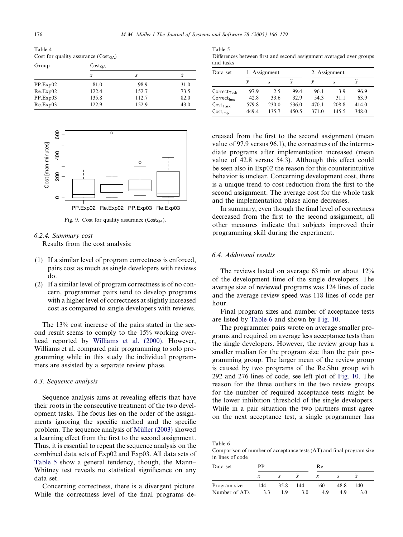<span id="page-10-0"></span>Table 4 Cost for quality assurance  $(Cost_{QA})$ 

| Group          | $\mathsf{Cost}_\mathsf{OA}$ |       |                 |  |  |  |
|----------------|-----------------------------|-------|-----------------|--|--|--|
|                | $\overline{x}$              | .S    | $\widetilde{x}$ |  |  |  |
| PP.Exp02       | 81.0                        | 98.9  | 31.0            |  |  |  |
| Re.Exp02       | 122.4                       | 152.7 | 73.5            |  |  |  |
| $PP$ . $Exp03$ | 135.8                       | 112.7 | 82.0            |  |  |  |
| Re.Exp03       | 122.9                       | 152.9 | 43.0            |  |  |  |





# 6.2.4. Summary cost

Results from the cost analysis:

- (1) If a similar level of program correctness is enforced, pairs cost as much as single developers with reviews do.
- (2) If a similar level of program correctness is of no concern, programmer pairs tend to develop programs with a higher level of correctness at slightly increased cost as compared to single developers with reviews.

The 13% cost increase of the pairs stated in the second result seems to comply to the 15% working overhead reported by [Williams et al. \(2000\)](#page-13-0). However, Williams et al. compared pair programming to solo programming while in this study the individual programmers are assisted by a separate review phase.

# 6.3. Sequence analysis

Sequence analysis aims at revealing effects that have their roots in the consecutive treatment of the two development tasks. The focus lies on the order of the assignments ignoring the specific method and the specific problem. The sequence analysis of Müller  $(2003)$  showed a learning effect from the first to the second assignment. Thus, it is essential to repeat the sequence analysis on the combined data sets of Exp02 and Exp03. All data sets of Table 5 show a general tendency, though, the Mann– Whitney test reveals no statistical significance on any data set.

Concerning correctness, there is a divergent picture. While the correctness level of the final programs de-

Table 5 Differences between first and second assignment averaged over groups and tasks

| Data set               |                | 1. Assignment |                 | 2. Assignment  |       |                 |  |
|------------------------|----------------|---------------|-----------------|----------------|-------|-----------------|--|
|                        | $\overline{x}$ | $\mathcal{S}$ | $\widetilde{x}$ | $\overline{x}$ | .s    | $\widetilde{x}$ |  |
| $Correct_{Task}$       | 97.9           | 2.5           | 99.4            | 96.1           | 3.9   | 96.9            |  |
| $Correct_{\text{Imp}}$ | 42.8           | 33.6          | 32.9            | 54.3           | 31 1  | 63.9            |  |
| Cost <sub>Task</sub>   | 579.8          | 230.0         | 536.0           | 470.1          | 208.8 | 414.0           |  |
| $Cost_{Imp}$           | 44944          | 135.7         | 450.5           | 371.0          | 145.5 | 348.0           |  |

creased from the first to the second assignment (mean value of 97.9 versus 96.1), the correctness of the intermediate programs after implementation increased (mean value of 42.8 versus 54.3). Although this effect could be seen also in Exp02 the reason for this counterintuitive behavior is unclear. Concerning development cost, there is a unique trend to cost reduction from the first to the second assignment. The average cost for the whole task and the implementation phase alone decreases.

In summary, even though the final level of correctness decreased from the first to the second assignment, all other measures indicate that subjects improved their programming skill during the experiment.

# 6.4. Additional results

The reviews lasted on average 63 min or about 12% of the development time of the single developers. The average size of reviewed programs was 124 lines of code and the average review speed was 118 lines of code per hour.

Final program sizes and number of acceptance tests are listed by Table 6 and shown by [Fig. 10](#page-11-0).

The programmer pairs wrote on average smaller programs and required on average less acceptance tests than the single developers. However, the review group has a smaller median for the program size than the pair programming group. The larger mean of the review group is caused by two programs of the Re.Shu group with 292 and 276 lines of code, see left plot of [Fig. 10.](#page-11-0) The reason for the three outliers in the two review groups for the number of required acceptance tests might be the lower inhibition threshold of the single developers. While in a pair situation the two partners must agree on the next acceptance test, a single programmer has

| Table 6                                                              |
|----------------------------------------------------------------------|
| Comparison of number of acceptance tests (AT) and final program size |
| in lines of code                                                     |

| $\mu$ $\mu$ $\mu$ $\sigma$ $\sigma$ $\sigma$<br>Data set | PP           |      |                  | Re  |      |     |
|----------------------------------------------------------|--------------|------|------------------|-----|------|-----|
|                                                          | $\mathbf{x}$ | .s   | $\boldsymbol{x}$ | x   |      | x   |
| Program size                                             | 144          | 35.8 | 144              | 160 | 48.8 | 140 |
| Number of ATs                                            | 3.3          | 19   | 30               | 49  | 49   | 3.0 |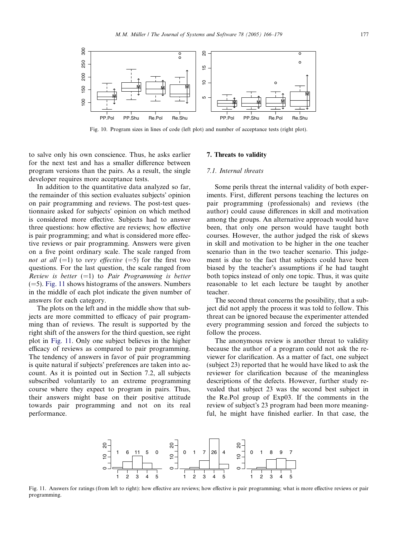<span id="page-11-0"></span>

Fig. 10. Program sizes in lines of code (left plot) and number of acceptance tests (right plot).

to salve only his own conscience. Thus, he asks earlier for the next test and has a smaller difference between program versions than the pairs. As a result, the single developer requires more acceptance tests.

In addition to the quantitative data analyzed so far, the remainder of this section evaluates subjects' opinion on pair programming and reviews. The post-test questionnaire asked for subjects' opinion on which method is considered more effective. Subjects had to answer three questions: how effective are reviews; how effective is pair programming; and what is considered more effective reviews or pair programming. Answers were given on a five point ordinary scale. The scale ranged from not at all  $(=1)$  to very effective  $(=5)$  for the first two questions. For the last question, the scale ranged from Review is better  $(=1)$  to Pair Programming is better  $(=5)$ . Fig. 11 shows histograms of the answers. Numbers in the middle of each plot indicate the given number of answers for each category.

The plots on the left and in the middle show that subjects are more committed to efficacy of pair programming than of reviews. The result is supported by the right shift of the answers for the third question, see right plot in Fig. 11. Only one subject believes in the higher efficacy of reviews as compared to pair programming. The tendency of answers in favor of pair programming is quite natural if subjects' preferences are taken into account. As it is pointed out in Section 7.2, all subjects subscribed voluntarily to an extreme programming course where they expect to program in pairs. Thus, their answers might base on their positive attitude towards pair programming and not on its real performance.

### 7. Threats to validity

### 7.1. Internal threats

Some perils threat the internal validity of both experiments. First, different persons teaching the lectures on pair programming (professionals) and reviews (the author) could cause differences in skill and motivation among the groups. An alternative approach would have been, that only one person would have taught both courses. However, the author judged the risk of skews in skill and motivation to be higher in the one teacher scenario than in the two teacher scenario. This judgement is due to the fact that subjects could have been biased by the teacher's assumptions if he had taught both topics instead of only one topic. Thus, it was quite reasonable to let each lecture be taught by another teacher.

The second threat concerns the possibility, that a subject did not apply the process it was told to follow. This threat can be ignored because the experimenter attended every programming session and forced the subjects to follow the process.

The anonymous review is another threat to validity because the author of a program could not ask the reviewer for clarification. As a matter of fact, one subject (subject 23) reported that he would have liked to ask the reviewer for clarification because of the meaningless descriptions of the defects. However, further study revealed that subject 23 was the second best subject in the Re.Pol group of Exp03. If the comments in the review of subject's 23 program had been more meaningful, he might have finished earlier. In that case, the



Fig. 11. Answers for ratings (from left to right): how effective are reviews; how effective is pair programming; what is more effective reviews or pair programming.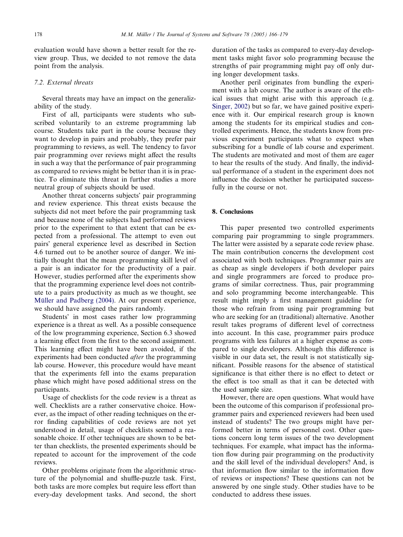evaluation would have shown a better result for the review group. Thus, we decided to not remove the data point from the analysis.

# 7.2. External threats

Several threats may have an impact on the generalizability of the study.

First of all, participants were students who subscribed voluntarily to an extreme programming lab course. Students take part in the course because they want to develop in pairs and probably, they prefer pair programming to reviews, as well. The tendency to favor pair programming over reviews might affect the results in such a way that the performance of pair programming as compared to reviews might be better than it is in practice. To eliminate this threat in further studies a more neutral group of subjects should be used.

Another threat concerns subjects' pair programming and review experience. This threat exists because the subjects did not meet before the pair programming task and because none of the subjects had performed reviews prior to the experiment to that extent that can be expected from a professional. The attempt to even out pairs' general experience level as described in Section 4.6 turned out to be another source of danger. We initially thought that the mean programming skill level of a pair is an indicator for the productivity of a pair. However, studies performed after the experiments show that the programming experience level does not contribute to a pairs productivity as much as we thought, see Müller and Padberg (2004). At our present experience, we should have assigned the pairs randomly.

Students' in most cases rather low programming experience is a threat as well. As a possible consequence of the low programming experience, Section 6.3 showed a learning effect from the first to the second assignment. This learning effect might have been avoided, if the experiments had been conducted *after* the programming lab course. However, this procedure would have meant that the experiments fell into the exams preparation phase which might have posed additional stress on the participants.

Usage of checklists for the code review is a threat as well. Checklists are a rather conservative choice. However, as the impact of other reading techniques on the error finding capabilities of code reviews are not yet understood in detail, usage of checklists seemed a reasonable choice. If other techniques are shown to be better than checklists, the presented experiments should be repeated to account for the improvement of the code reviews.

Other problems originate from the algorithmic structure of the polynomial and shuffle-puzzle task. First, both tasks are more complex but require less effort than every-day development tasks. And second, the short duration of the tasks as compared to every-day development tasks might favor solo programming because the strengths of pair programming might pay off only during longer development tasks.

Another peril originates from bundling the experiment with a lab course. The author is aware of the ethical issues that might arise with this approach (e.g. [Singer, 2002](#page-13-0)) but so far, we have gained positive experience with it. Our empirical research group is known among the students for its empirical studies and controlled experiments. Hence, the students know from previous experiment participants what to expect when subscribing for a bundle of lab course and experiment. The students are motivated and most of them are eager to hear the results of the study. And finally, the individual performance of a student in the experiment does not influence the decision whether he participated successfully in the course or not.

# 8. Conclusions

This paper presented two controlled experiments comparing pair programming to single programmers. The latter were assisted by a separate code review phase. The main contribution concerns the development cost associated with both techniques. Programmer pairs are as cheap as single developers if both developer pairs and single programmers are forced to produce programs of similar correctness. Thus, pair programming and solo programming become interchangeable. This result might imply a first management guideline for those who refrain from using pair programming but who are seeking for an (traditional) alternative. Another result takes programs of different level of correctness into account. In this case, programmer pairs produce programs with less failures at a higher expense as compared to single developers. Although this difference is visible in our data set, the result is not statistically significant. Possible reasons for the absence of statistical significance is that either there is no effect to detect or the effect is too small as that it can be detected with the used sample size.

However, there are open questions. What would have been the outcome of this comparison if professional programmer pairs and experienced reviewers had been used instead of students? The two groups might have performed better in terms of personnel cost. Other questions concern long term issues of the two development techniques. For example, what impact has the information flow during pair programming on the productivity and the skill level of the individual developers? And, is that information flow similar to the information flow of reviews or inspections? These questions can not be answered by one single study. Other studies have to be conducted to address these issues.